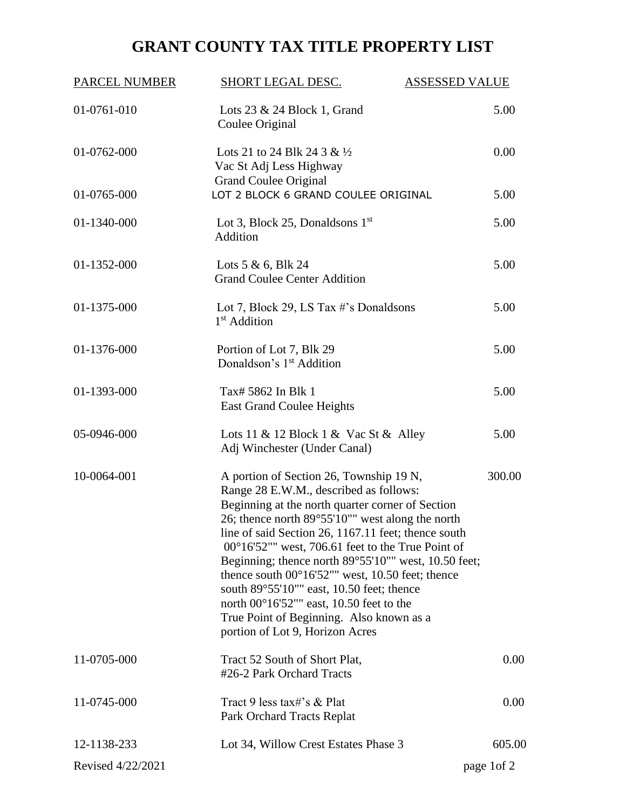## **GRANT COUNTY TAX TITLE PROPERTY LIST**

| <b>PARCEL NUMBER</b> | <b>SHORT LEGAL DESC.</b>                                                                                                                                                                                                                                                                                                                                                                                                                                                                                                                                                                                                            | <b>ASSESSED VALUE</b> |  |
|----------------------|-------------------------------------------------------------------------------------------------------------------------------------------------------------------------------------------------------------------------------------------------------------------------------------------------------------------------------------------------------------------------------------------------------------------------------------------------------------------------------------------------------------------------------------------------------------------------------------------------------------------------------------|-----------------------|--|
| 01-0761-010          | Lots $23 \& 24$ Block 1, Grand<br>Coulee Original                                                                                                                                                                                                                                                                                                                                                                                                                                                                                                                                                                                   | 5.00                  |  |
| 01-0762-000          | Lots 21 to 24 Blk 24 3 & $\frac{1}{2}$<br>Vac St Adj Less Highway                                                                                                                                                                                                                                                                                                                                                                                                                                                                                                                                                                   | 0.00                  |  |
| 01-0765-000          | <b>Grand Coulee Original</b><br>LOT 2 BLOCK 6 GRAND COULEE ORIGINAL                                                                                                                                                                                                                                                                                                                                                                                                                                                                                                                                                                 | 5.00                  |  |
| 01-1340-000          | Lot 3, Block 25, Donaldsons $1st$<br>Addition                                                                                                                                                                                                                                                                                                                                                                                                                                                                                                                                                                                       | 5.00                  |  |
| 01-1352-000          | Lots $5 & 6$ , Blk 24<br><b>Grand Coulee Center Addition</b>                                                                                                                                                                                                                                                                                                                                                                                                                                                                                                                                                                        | 5.00                  |  |
| 01-1375-000          | Lot 7, Block 29, LS Tax $\#$ 's Donaldsons<br>1 <sup>st</sup> Addition                                                                                                                                                                                                                                                                                                                                                                                                                                                                                                                                                              | 5.00                  |  |
| 01-1376-000          | Portion of Lot 7, Blk 29<br>Donaldson's 1 <sup>st</sup> Addition                                                                                                                                                                                                                                                                                                                                                                                                                                                                                                                                                                    | 5.00                  |  |
| 01-1393-000          | Tax# 5862 In Blk 1<br>East Grand Coulee Heights                                                                                                                                                                                                                                                                                                                                                                                                                                                                                                                                                                                     | 5.00                  |  |
| 05-0946-000          | Lots 11 & 12 Block 1 & Vac St & Alley<br>Adj Winchester (Under Canal)                                                                                                                                                                                                                                                                                                                                                                                                                                                                                                                                                               | 5.00                  |  |
| 10-0064-001          | A portion of Section 26, Township 19 N,<br>Range 28 E.W.M., described as follows:<br>Beginning at the north quarter corner of Section<br>26; thence north 89°55'10"" west along the north<br>line of said Section 26, 1167.11 feet; thence south<br>$00^{\circ}16'52'''$ west, 706.61 feet to the True Point of<br>Beginning; thence north 89°55'10"" west, 10.50 feet;<br>thence south $00^{\circ}16'52''''$ west, 10.50 feet; thence<br>south $89^{\circ}55'10'''$ east, 10.50 feet; thence<br>north $00^{\circ}16'52''''$ east, 10.50 feet to the<br>True Point of Beginning. Also known as a<br>portion of Lot 9, Horizon Acres | 300.00                |  |
| 11-0705-000          | Tract 52 South of Short Plat,<br>#26-2 Park Orchard Tracts                                                                                                                                                                                                                                                                                                                                                                                                                                                                                                                                                                          | 0.00                  |  |
| 11-0745-000          | Tract 9 less tax#'s & Plat<br>Park Orchard Tracts Replat                                                                                                                                                                                                                                                                                                                                                                                                                                                                                                                                                                            | 0.00                  |  |
| 12-1138-233          | Lot 34, Willow Crest Estates Phase 3                                                                                                                                                                                                                                                                                                                                                                                                                                                                                                                                                                                                | 605.00                |  |
| Revised 4/22/2021    |                                                                                                                                                                                                                                                                                                                                                                                                                                                                                                                                                                                                                                     | page 1 of 2           |  |